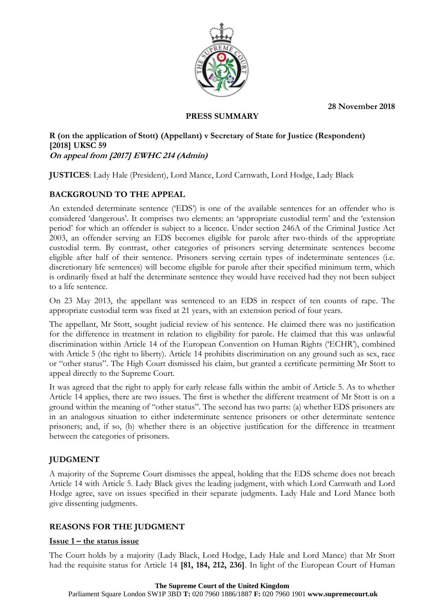**28 November 2018**



## **PRESS SUMMARY**

### **R (on the application of Stott) (Appellant) v Secretary of State for Justice (Respondent) [2018] UKSC 59 On appeal from [2017] EWHC 214 (Admin)**

**JUSTICES**: Lady Hale (President), Lord Mance, Lord Carnwath, Lord Hodge, Lady Black

# **BACKGROUND TO THE APPEAL**

An extended determinate sentence ('EDS') is one of the available sentences for an offender who is considered 'dangerous'. It comprises two elements: an 'appropriate custodial term' and the 'extension period' for which an offender is subject to a licence. Under section 246A of the Criminal Justice Act 2003, an offender serving an EDS becomes eligible for parole after two-thirds of the appropriate custodial term. By contrast, other categories of prisoners serving determinate sentences become eligible after half of their sentence. Prisoners serving certain types of indeterminate sentences (i.e. discretionary life sentences) will become eligible for parole after their specified minimum term, which is ordinarily fixed at half the determinate sentence they would have received had they not been subject to a life sentence.

On 23 May 2013, the appellant was sentenced to an EDS in respect of ten counts of rape. The appropriate custodial term was fixed at 21 years, with an extension period of four years.

The appellant, Mr Stott, sought judicial review of his sentence. He claimed there was no justification for the difference in treatment in relation to eligibility for parole. He claimed that this was unlawful discrimination within Article 14 of the European Convention on Human Rights ('ECHR'), combined with Article 5 (the right to liberty). Article 14 prohibits discrimination on any ground such as sex, race or "other status". The High Court dismissed his claim, but granted a certificate permitting Mr Stott to appeal directly to the Supreme Court.

It was agreed that the right to apply for early release falls within the ambit of Article 5. As to whether Article 14 applies, there are two issues. The first is whether the different treatment of Mr Stott is on a ground within the meaning of "other status". The second has two parts: (a) whether EDS prisoners are in an analogous situation to either indeterminate sentence prisoners or other determinate sentence prisoners; and, if so, (b) whether there is an objective justification for the difference in treatment between the categories of prisoners.

# **JUDGMENT**

A majority of the Supreme Court dismisses the appeal, holding that the EDS scheme does not breach Article 14 with Article 5. Lady Black gives the leading judgment, with which Lord Carnwath and Lord Hodge agree, save on issues specified in their separate judgments. Lady Hale and Lord Mance both give dissenting judgments.

# **REASONS FOR THE JUDGMENT**

### **Issue 1 – the status issue**

The Court holds by a majority (Lady Black, Lord Hodge, Lady Hale and Lord Mance) that Mr Stott had the requisite status for Article 14 **[81, 184, 212, 236]**. In light of the European Court of Human

#### **The Supreme Court of the United Kingdom**

Parliament Square London SW1P 3BD **T:** 020 7960 1886/1887 **F:** 020 7960 1901 **www.supremecourt.uk**